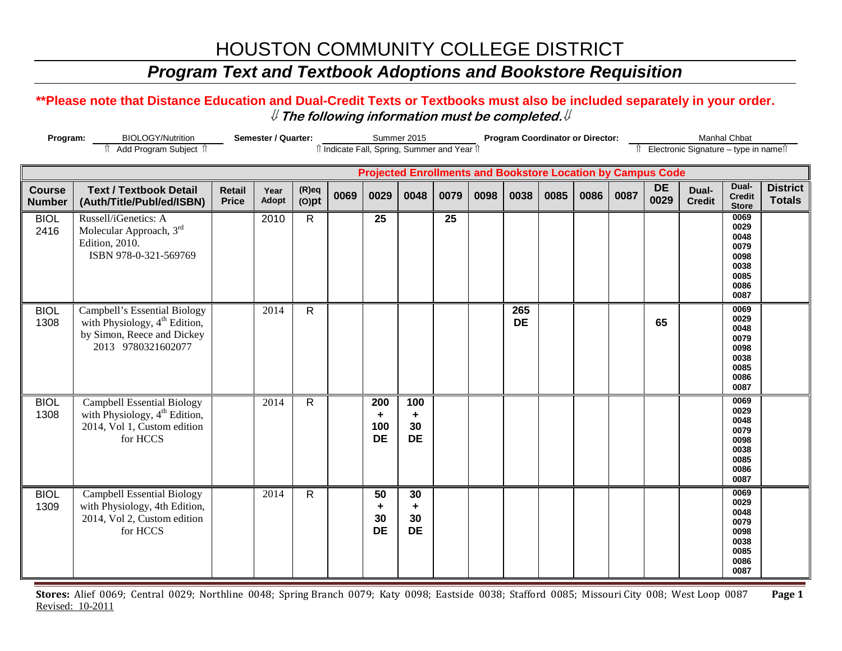## *Program Text and Textbook Adoptions and Bookstore Requisition*

### **\*\*Please note that Distance Education and Dual-Credit Texts or Textbooks must also be included separately in your order.**  ⇓ **The following information must be completed.**⇓

| Program:<br><b>BIOLOGY/Nutrition</b><br>Add Program Subject 1 |                                                                                                                           |                               | Semester / Quarter: |                      | îl Indicate Fall, Spring, Summer and Year îl |                                                                    | Summer 2015                 |      |      |                  | <b>Program Coordinator or Director:</b> |      |      |                   | Îl Electronic Signature - type in nameîl | <b>Manhal Chbat</b>                                                  |                                  |
|---------------------------------------------------------------|---------------------------------------------------------------------------------------------------------------------------|-------------------------------|---------------------|----------------------|----------------------------------------------|--------------------------------------------------------------------|-----------------------------|------|------|------------------|-----------------------------------------|------|------|-------------------|------------------------------------------|----------------------------------------------------------------------|----------------------------------|
|                                                               |                                                                                                                           |                               |                     |                      |                                              | <b>Projected Enrollments and Bookstore Location by Campus Code</b> |                             |      |      |                  |                                         |      |      |                   |                                          |                                                                      |                                  |
| <b>Course</b><br><b>Number</b>                                | <b>Text / Textbook Detail</b><br>(Auth/Title/Publ/ed/ISBN)                                                                | <b>Retail</b><br><b>Price</b> | Year<br>Adopt       | $(R)$ eq<br>$(O)$ pt | 0069                                         | 0029                                                               | 0048                        | 0079 | 0098 | 0038             | 0085                                    | 0086 | 0087 | <b>DE</b><br>0029 | Dual-<br><b>Credit</b>                   | Dual-<br><b>Credit</b><br><b>Store</b>                               | <b>District</b><br><b>Totals</b> |
| <b>BIOL</b><br>2416                                           | Russell/iGenetics: A<br>Molecular Approach, 3rd<br>Edition, 2010.<br>ISBN 978-0-321-569769                                |                               | 2010                | $\mathsf{R}$         |                                              | 25                                                                 |                             | 25   |      |                  |                                         |      |      |                   |                                          | 0069<br>0029<br>0048<br>0079<br>0098<br>0038<br>0085<br>0086<br>0087 |                                  |
| <b>BIOL</b><br>1308                                           | Campbell's Essential Biology<br>with Physiology, $4^{th}$ Edition,<br>by Simon, Reece and Dickey<br>2013 9780321602077    |                               | 2014                | $\overline{R}$       |                                              |                                                                    |                             |      |      | 265<br><b>DE</b> |                                         |      |      | 65                |                                          | 0069<br>0029<br>0048<br>0079<br>0098<br>0038<br>0085<br>0086<br>0087 |                                  |
| <b>BIOL</b><br>1308                                           | <b>Campbell Essential Biology</b><br>with Physiology, 4 <sup>th</sup> Edition,<br>2014, Vol 1, Custom edition<br>for HCCS |                               | 2014                | $\mathsf{R}$         |                                              | 200<br>٠<br>100<br><b>DE</b>                                       | 100<br>٠<br>30<br><b>DE</b> |      |      |                  |                                         |      |      |                   |                                          | 0069<br>0029<br>0048<br>0079<br>0098<br>0038<br>0085<br>0086<br>0087 |                                  |
| <b>BIOL</b><br>1309                                           | <b>Campbell Essential Biology</b><br>with Physiology, 4th Edition,<br>2014, Vol 2, Custom edition<br>for HCCS             |                               | 2014                | $\mathsf{R}$         |                                              | 50<br>٠<br>30<br><b>DE</b>                                         | 30<br>÷<br>30<br><b>DE</b>  |      |      |                  |                                         |      |      |                   |                                          | 0069<br>0029<br>0048<br>0079<br>0098<br>0038<br>0085<br>0086<br>0087 |                                  |

**Stores:** Alief 0069; Central 0029; Northline 0048; Spring Branch 0079; Katy 0098; Eastside 0038; Stafford 0085; Missouri City 008; West Loop 0087 **Page 1** Revised: 10-2011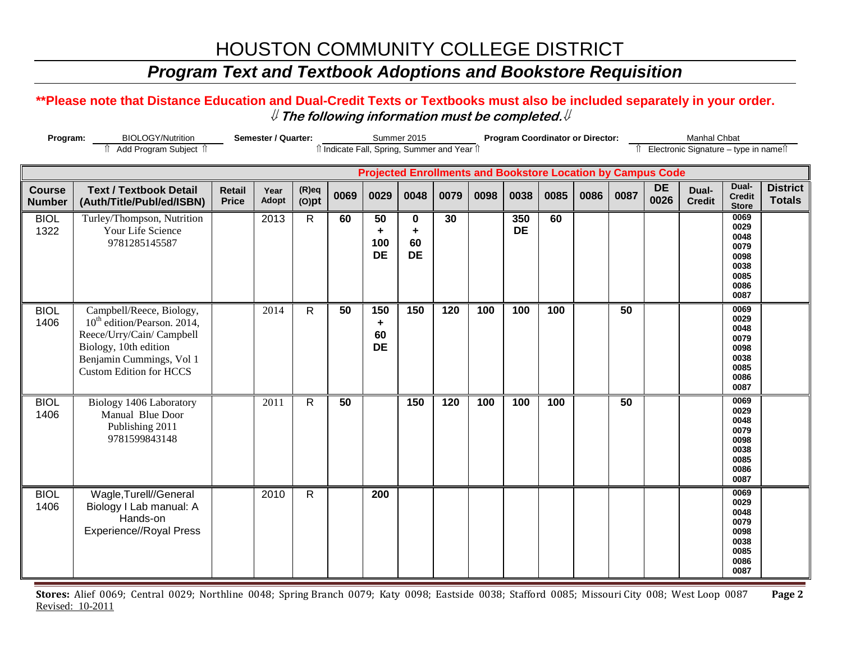## *Program Text and Textbook Adoptions and Bookstore Requisition*

#### **\*\*Please note that Distance Education and Dual-Credit Texts or Textbooks must also be included separately in your order.**  ⇓ **The following information must be completed.**⇓

| Program:<br><b>BIOLOGY/Nutrition</b><br>î Add Program Subject î |                                                                                                                                                                                         |                               | Semester / Quarter: |                      |      |                             | Summer 2015               | îl Indicate Fall, Spring, Summer and Year îl |      |                  | <b>Program Coordinator or Director:</b> |      |      |                                                                    | Manhal Chbat<br>î Electronic Signature - type in nameî |                                                                      |                                  |
|-----------------------------------------------------------------|-----------------------------------------------------------------------------------------------------------------------------------------------------------------------------------------|-------------------------------|---------------------|----------------------|------|-----------------------------|---------------------------|----------------------------------------------|------|------------------|-----------------------------------------|------|------|--------------------------------------------------------------------|--------------------------------------------------------|----------------------------------------------------------------------|----------------------------------|
|                                                                 |                                                                                                                                                                                         |                               |                     |                      |      |                             |                           |                                              |      |                  |                                         |      |      | <b>Projected Enrollments and Bookstore Location by Campus Code</b> |                                                        |                                                                      |                                  |
| <b>Course</b><br><b>Number</b>                                  | <b>Text / Textbook Detail</b><br>(Auth/Title/Publ/ed/ISBN)                                                                                                                              | <b>Retail</b><br><b>Price</b> | Year<br>Adopt       | $(R)$ eq<br>$(O)$ pt | 0069 | 0029                        | 0048                      | 0079                                         | 0098 | 0038             | 0085                                    | 0086 | 0087 | <b>DE</b><br>0026                                                  | Dual-<br><b>Credit</b>                                 | Dual-<br><b>Credit</b><br><b>Store</b>                               | <b>District</b><br><b>Totals</b> |
| <b>BIOL</b><br>1322                                             | Turley/Thompson, Nutrition<br>Your Life Science<br>9781285145587                                                                                                                        |                               | 2013                | $\mathsf{R}$         | 60   | 50<br>٠<br>100<br><b>DE</b> | 0<br>÷<br>60<br><b>DE</b> | 30                                           |      | 350<br><b>DE</b> | 60                                      |      |      |                                                                    |                                                        | 0069<br>0029<br>0048<br>0079<br>0098<br>0038<br>0085<br>0086<br>0087 |                                  |
| <b>BIOL</b><br>1406                                             | Campbell/Reece, Biology,<br>10 <sup>th</sup> edition/Pearson. 2014,<br>Reece/Urry/Cain/ Campbell<br>Biology, 10th edition<br>Benjamin Cummings, Vol 1<br><b>Custom Edition for HCCS</b> |                               | 2014                | $\mathsf{R}$         | 50   | 150<br>٠<br>60<br><b>DE</b> | 150                       | 120                                          | 100  | 100              | 100                                     |      | 50   |                                                                    |                                                        | 0069<br>0029<br>0048<br>0079<br>0098<br>0038<br>0085<br>0086<br>0087 |                                  |
| <b>BIOL</b><br>1406                                             | Biology 1406 Laboratory<br>Manual Blue Door<br>Publishing 2011<br>9781599843148                                                                                                         |                               | 2011                | $\mathsf{R}$         | 50   |                             | 150                       | 120                                          | 100  | 100              | 100                                     |      | 50   |                                                                    |                                                        | 0069<br>0029<br>0048<br>0079<br>0098<br>0038<br>0085<br>0086<br>0087 |                                  |
| <b>BIOL</b><br>1406                                             | Wagle, Turell//General<br>Biology I Lab manual: A<br>Hands-on<br><b>Experience//Royal Press</b>                                                                                         |                               | 2010                | $\mathsf{R}$         |      | 200                         |                           |                                              |      |                  |                                         |      |      |                                                                    |                                                        | 0069<br>0029<br>0048<br>0079<br>0098<br>0038<br>0085<br>0086<br>0087 |                                  |

**Stores:** Alief 0069; Central 0029; Northline 0048; Spring Branch 0079; Katy 0098; Eastside 0038; Stafford 0085; Missouri City 008; West Loop 0087 **Page 2** Revised: 10-2011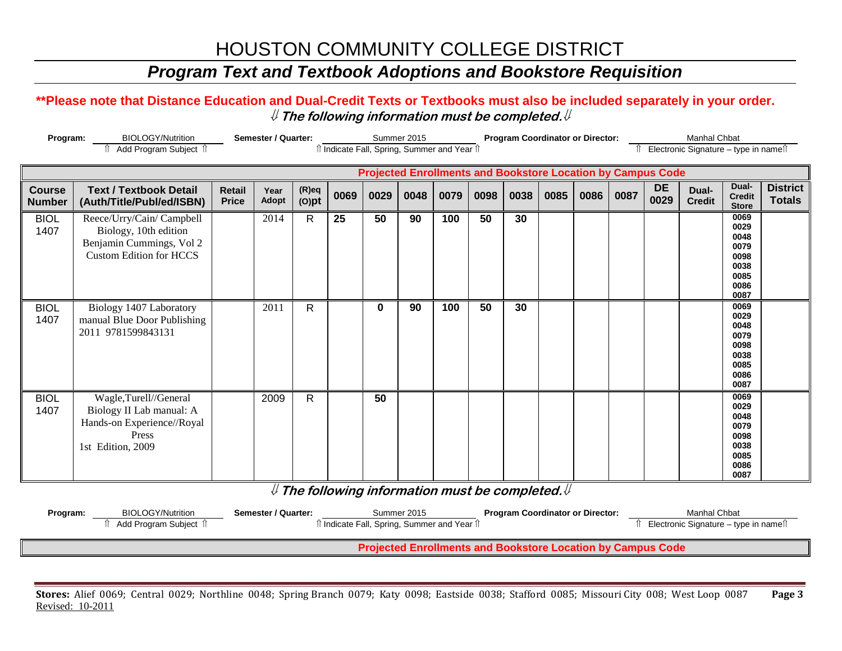### *Program Text and Textbook Adoptions and Bookstore Requisition*

### **\*\*Please note that Distance Education and Dual-Credit Texts or Textbooks must also be included separately in your order.**  ⇓ **The following information must be completed.**⇓

|                                | Program:<br><b>BIOLOGY/Nutrition</b><br>Add Program Subject îl                                                   |                               | <b>Semester / Quarter:</b> |                      |      |      | Summer 2015 | î Indicate Fall, Spring, Summer and Year î |      |      | <b>Program Coordinator or Director:</b> |      |      |                                                                    | <b>Manhal Chbat</b><br>Electronic Signature - type in names |                                                                      |                                  |
|--------------------------------|------------------------------------------------------------------------------------------------------------------|-------------------------------|----------------------------|----------------------|------|------|-------------|--------------------------------------------|------|------|-----------------------------------------|------|------|--------------------------------------------------------------------|-------------------------------------------------------------|----------------------------------------------------------------------|----------------------------------|
|                                |                                                                                                                  |                               |                            |                      |      |      |             |                                            |      |      |                                         |      |      | <b>Projected Enrollments and Bookstore Location by Campus Code</b> |                                                             |                                                                      |                                  |
| <b>Course</b><br><b>Number</b> | <b>Text / Textbook Detail</b><br>(Auth/Title/Publ/ed/ISBN)                                                       | <b>Retail</b><br><b>Price</b> | Year<br>Adopt              | $(R)$ eq<br>$(O)$ pt | 0069 | 0029 | 0048        | 0079                                       | 0098 | 0038 | 0085                                    | 0086 | 0087 | <b>DE</b><br>0029                                                  | Dual-<br><b>Credit</b>                                      | Dual-<br><b>Credit</b><br><b>Store</b>                               | <b>District</b><br><b>Totals</b> |
| <b>BIOL</b><br>1407            | Reece/Urry/Cain/ Campbell<br>Biology, 10th edition<br>Benjamin Cummings, Vol 2<br><b>Custom Edition for HCCS</b> |                               | 2014                       | $\mathsf{R}$         | 25   | 50   | 90          | 100                                        | 50   | 30   |                                         |      |      |                                                                    |                                                             | 0069<br>0029<br>0048<br>0079<br>0098<br>0038<br>0085<br>0086<br>0087 |                                  |
| <b>BIOL</b><br>1407            | Biology 1407 Laboratory<br>manual Blue Door Publishing<br>2011 9781599843131                                     |                               | 2011                       | $\mathsf{R}$         |      | 0    | 90          | 100                                        | 50   | 30   |                                         |      |      |                                                                    |                                                             | 0069<br>0029<br>0048<br>0079<br>0098<br>0038<br>0085<br>0086<br>0087 |                                  |
| <b>BIOL</b><br>1407            | Wagle,Turell//General<br>Biology II Lab manual: A<br>Hands-on Experience//Royal<br>Press<br>1st Edition, 2009    |                               | 2009                       | R                    |      | 50   |             |                                            |      |      |                                         |      |      |                                                                    |                                                             | 0069<br>0029<br>0048<br>0079<br>0098<br>0038<br>0085<br>0086<br>0087 |                                  |

⇓ **The following information must be completed.**⇓

| Program: | <b>BIOLOGY/Nutrition</b>                                           | Semester / Quarter: | Summer 2015<br><sup>1</sup> Indicate Fall, Spring, Summer and Year 1 | <b>Program Coordinator or Director:</b> | Manhal Chbat<br>Electronic Signature – type in names |  |  |  |  |  |  |  |  |  |
|----------|--------------------------------------------------------------------|---------------------|----------------------------------------------------------------------|-----------------------------------------|------------------------------------------------------|--|--|--|--|--|--|--|--|--|
|          | <b>Projected Enrollments and Bookstore Location by Campus Code</b> |                     |                                                                      |                                         |                                                      |  |  |  |  |  |  |  |  |  |

**Stores:** Alief 0069; Central 0029; Northline 0048; Spring Branch 0079; Katy 0098; Eastside 0038; Stafford 0085; Missouri City 008; West Loop 0087 **Page 3** Revised: 10-2011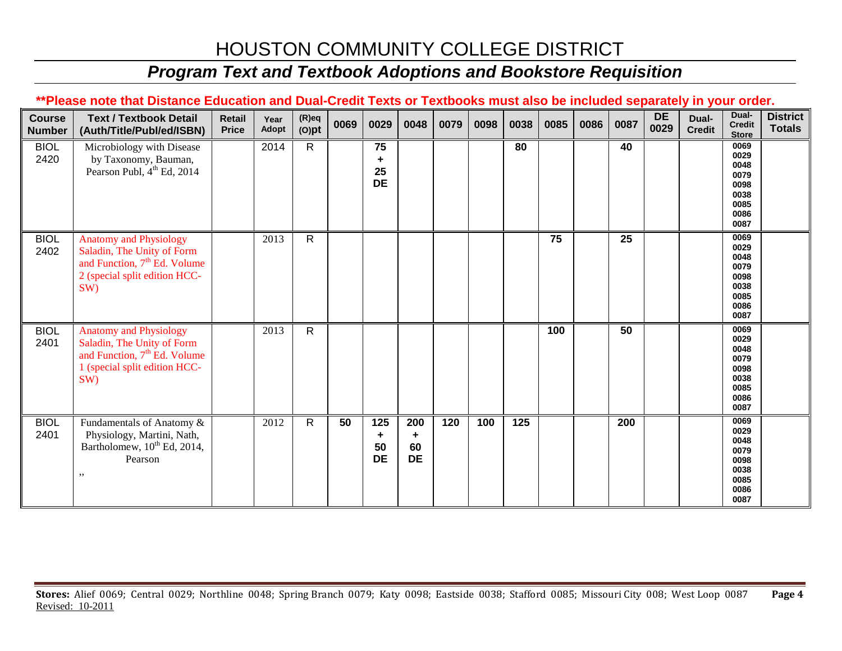## *Program Text and Textbook Adoptions and Bookstore Requisition*

### **\*\*Please note that Distance Education and Dual-Credit Texts or Textbooks must also be included separately in your order.**

| <b>Course</b><br><b>Number</b> | <b>Text / Textbook Detail</b><br>(Auth/Title/Publ/ed/ISBN)                                                                                      | <b>Retail</b><br><b>Price</b> | Year<br>Adopt | $(R)$ eq<br>$(O)$ pt | 0069 | 0029                         | 0048                        | 0079 | 0098 | 0038             | 0085 | 0086 | 0087 | <b>DE</b><br>0029 | Dual-<br><b>Credit</b> | Dual-<br><b>Credit</b><br><b>Store</b>                               | <b>District</b><br><b>Totals</b> |
|--------------------------------|-------------------------------------------------------------------------------------------------------------------------------------------------|-------------------------------|---------------|----------------------|------|------------------------------|-----------------------------|------|------|------------------|------|------|------|-------------------|------------------------|----------------------------------------------------------------------|----------------------------------|
| <b>BIOL</b><br>2420            | Microbiology with Disease<br>by Taxonomy, Bauman,<br>Pearson Publ, 4 <sup>th</sup> Ed, 2014                                                     |                               | 2014          | R.                   |      | 75<br>÷<br>25<br><b>DE</b>   |                             |      |      | 80               |      |      | 40   |                   |                        | 0069<br>0029<br>0048<br>0079<br>0098<br>0038<br>0085<br>0086<br>0087 |                                  |
| <b>BIOL</b><br>2402            | <b>Anatomy and Physiology</b><br>Saladin, The Unity of Form<br>and Function, 7 <sup>th</sup> Ed. Volume<br>2 (special split edition HCC-<br>SW) |                               | 2013          | $\mathsf{R}$         |      |                              |                             |      |      |                  | 75   |      | 25   |                   |                        | 0069<br>0029<br>0048<br>0079<br>0098<br>0038<br>0085<br>0086<br>0087 |                                  |
| <b>BIOL</b><br>2401            | <b>Anatomy and Physiology</b><br>Saladin, The Unity of Form<br>and Function, 7 <sup>th</sup> Ed. Volume<br>1 (special split edition HCC-<br>SW) |                               | 2013          | $\mathsf{R}$         |      |                              |                             |      |      |                  | 100  |      | 50   |                   |                        | 0069<br>0029<br>0048<br>0079<br>0098<br>0038<br>0085<br>0086<br>0087 |                                  |
| <b>BIOL</b><br>2401            | Fundamentals of Anatomy &<br>Physiology, Martini, Nath,<br>Bartholomew, 10 <sup>th</sup> Ed, 2014,<br>Pearson<br>,,                             |                               | 2012          | $\mathsf{R}$         | 50   | 125<br>÷.<br>50<br><b>DE</b> | 200<br>÷<br>60<br><b>DE</b> | 120  | 100  | $\overline{125}$ |      |      | 200  |                   |                        | 0069<br>0029<br>0048<br>0079<br>0098<br>0038<br>0085<br>0086<br>0087 |                                  |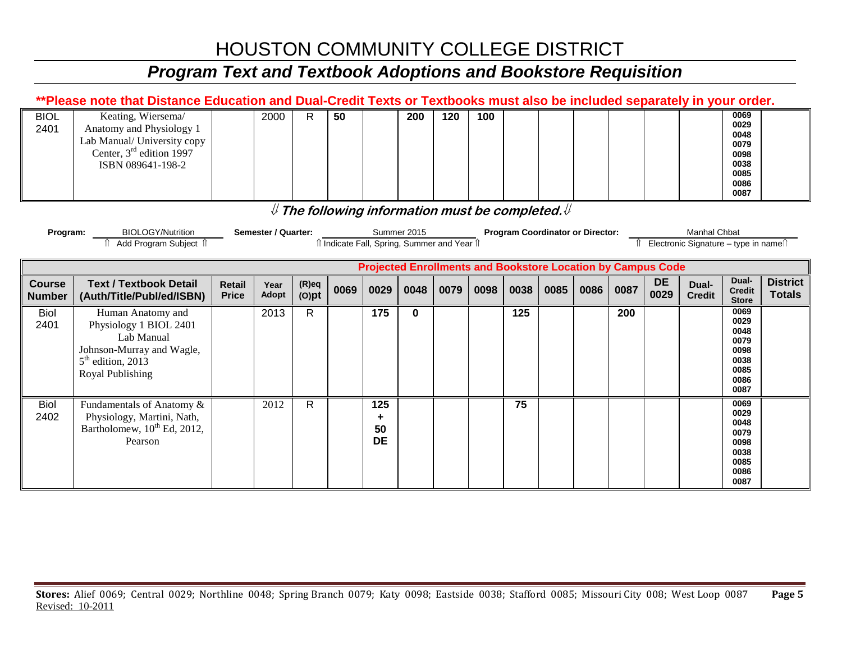## *Program Text and Textbook Adoptions and Bookstore Requisition*

|                                | **Please note that Distance Education and Dual-Credit Texts or Textbooks must also be included separately in your order.                                                                                                                                               |                               |               |                      |      |                              |      |      |      |      |      |      |      |                   |                        |                                                                      |                                  |
|--------------------------------|------------------------------------------------------------------------------------------------------------------------------------------------------------------------------------------------------------------------------------------------------------------------|-------------------------------|---------------|----------------------|------|------------------------------|------|------|------|------|------|------|------|-------------------|------------------------|----------------------------------------------------------------------|----------------------------------|
| <b>BIOL</b><br>2401            | Keating, Wiersema/<br>Anatomy and Physiology 1<br>Lab Manual/ University copy<br>Center, 3 <sup>rd</sup> edition 1997<br>ISBN 089641-198-2                                                                                                                             |                               | 2000          | R                    | 50   |                              | 200  | 120  | 100  |      |      |      |      |                   |                        | 0069<br>0029<br>0048<br>0079<br>0098<br>0038<br>0085<br>0086<br>0087 |                                  |
|                                | ${\mathbb U}$ The following information must be completed. ${\mathbb U}$                                                                                                                                                                                               |                               |               |                      |      |                              |      |      |      |      |      |      |      |                   |                        |                                                                      |                                  |
|                                | <b>BIOLOGY/Nutrition</b><br><b>Semester / Quarter:</b><br>Summer 2015<br><b>Program Coordinator or Director:</b><br><b>Manhal Chbat</b><br>Program:<br>î Add Program Subject î<br>îl Indicate Fall, Spring, Summer and Year îl<br>Electronic Signature - type in names |                               |               |                      |      |                              |      |      |      |      |      |      |      |                   |                        |                                                                      |                                  |
|                                | <b>Projected Enrollments and Bookstore Location by Campus Code</b>                                                                                                                                                                                                     |                               |               |                      |      |                              |      |      |      |      |      |      |      |                   |                        |                                                                      |                                  |
| <b>Course</b><br><b>Number</b> | <b>Text / Textbook Detail</b><br>(Auth/Title/Publ/ed/ISBN)                                                                                                                                                                                                             | <b>Retail</b><br><b>Price</b> | Year<br>Adopt | $(R)$ eq<br>$(O)$ pt | 0069 | 0029                         | 0048 | 0079 | 0098 | 0038 | 0085 | 0086 | 0087 | <b>DE</b><br>0029 | Dual-<br><b>Credit</b> | Dual-<br><b>Credit</b><br><b>Store</b>                               | <b>District</b><br><b>Totals</b> |
| <b>Biol</b><br>2401            | Human Anatomy and<br>Physiology 1 BIOL 2401<br>Lab Manual<br>Johnson-Murray and Wagle,<br>$5th$ edition, 2013<br>Royal Publishing                                                                                                                                      |                               | 2013          | $\mathsf{R}$         |      | 175                          | 0    |      |      | 125  |      |      | 200  |                   |                        | 0069<br>0029<br>0048<br>0079<br>0098<br>0038<br>0085<br>0086<br>0087 |                                  |
| <b>Biol</b><br>2402            | Fundamentals of Anatomy &<br>Physiology, Martini, Nath,<br>Bartholomew, 10 <sup>th</sup> Ed, 2012,<br>Pearson                                                                                                                                                          |                               | 2012          | R                    |      | 125<br>٠.<br>50<br><b>DE</b> |      |      |      | 75   |      |      |      |                   |                        | 0069<br>0029<br>0048<br>0079<br>0098<br>0038<br>0085                 |                                  |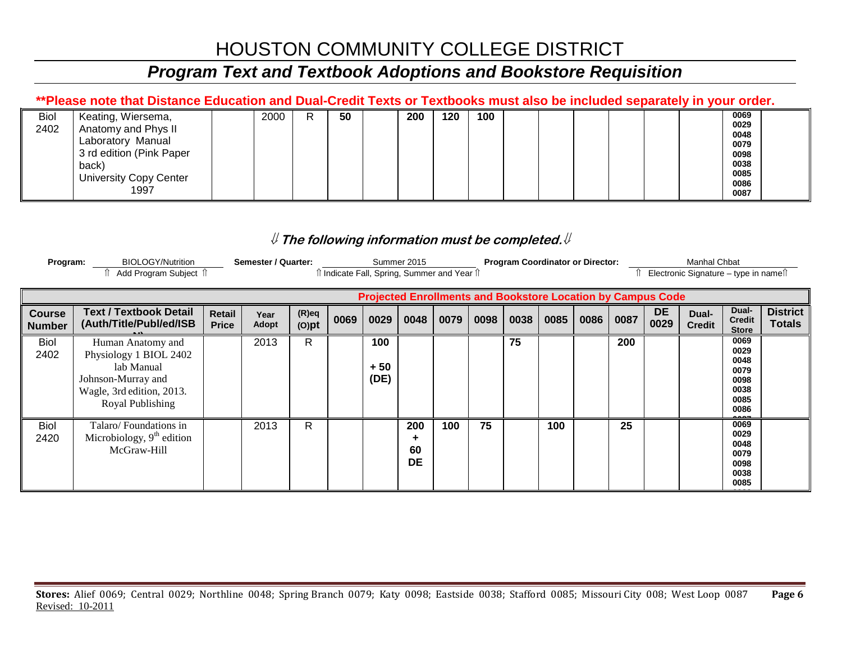## *Program Text and Textbook Adoptions and Bookstore Requisition*

### **\*\*Please note that Distance Education and Dual-Credit Texts or Textbooks must also be included separately in your order.**

| <b>Biol</b> | Keating, Wiersema,            | 2000 | R | 50 | 200 | 120 | 100 |  |  |  | 0069 |  |
|-------------|-------------------------------|------|---|----|-----|-----|-----|--|--|--|------|--|
| 2402        | Anatomy and Phys II           |      |   |    |     |     |     |  |  |  | 0029 |  |
|             |                               |      |   |    |     |     |     |  |  |  | 0048 |  |
|             | Laboratory Manual             |      |   |    |     |     |     |  |  |  | 0079 |  |
|             | 3 rd edition (Pink Paper      |      |   |    |     |     |     |  |  |  | 0098 |  |
|             | back)                         |      |   |    |     |     |     |  |  |  | 0038 |  |
|             | <b>University Copy Center</b> |      |   |    |     |     |     |  |  |  | 0085 |  |
|             |                               |      |   |    |     |     |     |  |  |  | 0086 |  |
|             | 1997                          |      |   |    |     |     |     |  |  |  | 0087 |  |
|             |                               |      |   |    |     |     |     |  |  |  |      |  |

### ⇓ **The following information must be completed.**⇓

| Program:                       | <b>BIOLOGY/Nutrition</b><br>Add Program Subject î                                                                                |                               | Semester / Quarter: |                      | î Indicate Fall, Spring, Summer and Year î |                      | Summer 2015            |      |      |      | <b>Program Coordinator or Director:</b> |      |      |                   | <b>Manhal Chbat</b><br>Electronic Signature – type in name $\hat{I}$ |                                                              |                                  |
|--------------------------------|----------------------------------------------------------------------------------------------------------------------------------|-------------------------------|---------------------|----------------------|--------------------------------------------|----------------------|------------------------|------|------|------|-----------------------------------------|------|------|-------------------|----------------------------------------------------------------------|--------------------------------------------------------------|----------------------------------|
|                                | <b>Projected Enrollments and Bookstore Location by Campus Code</b>                                                               |                               |                     |                      |                                            |                      |                        |      |      |      |                                         |      |      |                   |                                                                      |                                                              |                                  |
| <b>Course</b><br><b>Number</b> | <b>Text / Textbook Detail</b><br>(Auth/Title/Publ/ed/ISB                                                                         | <b>Retail</b><br><b>Price</b> | Year<br>Adopt       | $(R)$ eq<br>$(O)$ pt | 0069                                       | 0029                 | 0048                   | 0079 | 0098 | 0038 | 0085                                    | 0086 | 0087 | <b>DE</b><br>0029 | Dual-<br><b>Credit</b>                                               | Dual-<br><b>Credit</b><br><b>Store</b>                       | <b>District</b><br><b>Totals</b> |
| Biol<br>2402                   | Human Anatomy and<br>Physiology 1 BIOL 2402<br>lab Manual<br>Johnson-Murray and<br>Wagle, 3rd edition, 2013.<br>Royal Publishing |                               | 2013                | R                    |                                            | 100<br>$+50$<br>(DE) |                        |      |      | 75   |                                         |      | 200  |                   |                                                                      | 0069<br>0029<br>0048<br>0079<br>0098<br>0038<br>0085<br>0086 |                                  |
| <b>Biol</b><br>2420            | Talaro/Foundations in<br>Microbiology, $9th$ edition<br>McGraw-Hill                                                              |                               | 2013                | R                    |                                            |                      | 200<br>60<br><b>DE</b> | 100  | 75   |      | 100                                     |      | 25   |                   |                                                                      | 0069<br>0029<br>0048<br>0079<br>0098<br>0038<br>0085         |                                  |